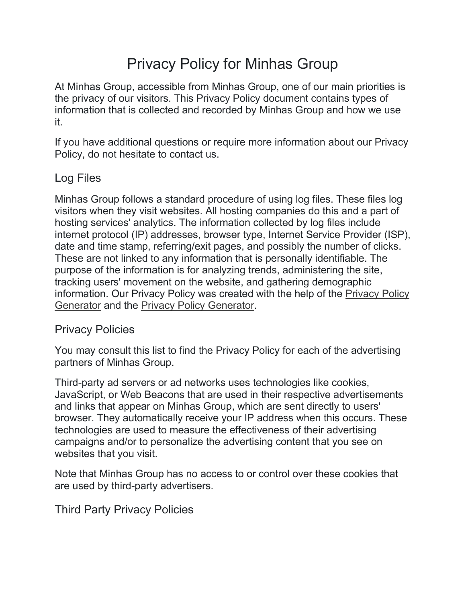# Privacy Policy for Minhas Group

At Minhas Group, accessible from Minhas Group, one of our main priorities is the privacy of our visitors. This Privacy Policy document contains types of information that is collected and recorded by Minhas Group and how we use it.

If you have additional questions or require more information about our Privacy Policy, do not hesitate to contact us.

## Log Files

Minhas Group follows a standard procedure of using log files. These files log visitors when they visit websites. All hosting companies do this and a part of hosting services' analytics. The information collected by log files include internet protocol (IP) addresses, browser type, Internet Service Provider (ISP), date and time stamp, referring/exit pages, and possibly the number of clicks. These are not linked to any information that is personally identifiable. The purpose of the information is for analyzing trends, administering the site, tracking users' movement on the website, and gathering demographic information. Our Privacy Policy was created with the help of the Privacy Policy Generator and the Privacy Policy Generator.

## Privacy Policies

You may consult this list to find the Privacy Policy for each of the advertising partners of Minhas Group.

Third-party ad servers or ad networks uses technologies like cookies, JavaScript, or Web Beacons that are used in their respective advertisements and links that appear on Minhas Group, which are sent directly to users' browser. They automatically receive your IP address when this occurs. These technologies are used to measure the effectiveness of their advertising campaigns and/or to personalize the advertising content that you see on websites that you visit.

Note that Minhas Group has no access to or control over these cookies that are used by third-party advertisers.

Third Party Privacy Policies